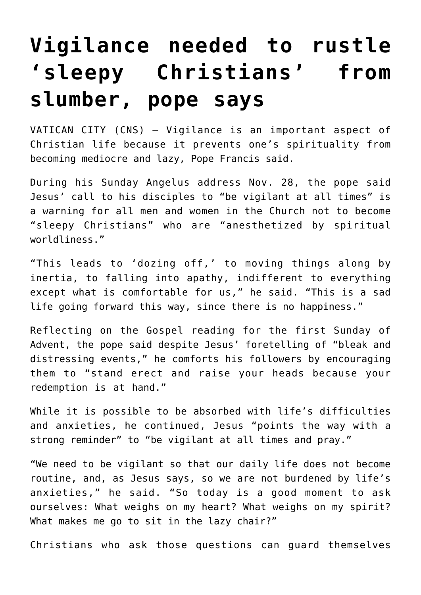## **[Vigilance needed to rustle](https://www.osvnews.com/2021/11/29/vigilance-needed-to-rustle-sleepy-christians-from-slumber-pope-says/) ['sleepy Christians' from](https://www.osvnews.com/2021/11/29/vigilance-needed-to-rustle-sleepy-christians-from-slumber-pope-says/) [slumber, pope says](https://www.osvnews.com/2021/11/29/vigilance-needed-to-rustle-sleepy-christians-from-slumber-pope-says/)**

VATICAN CITY (CNS) — Vigilance is an important aspect of Christian life because it prevents one's spirituality from becoming mediocre and lazy, Pope Francis said.

During his Sunday Angelus address Nov. 28, the pope said Jesus' call to his disciples to "be vigilant at all times" is a warning for all men and women in the Church not to become "sleepy Christians" who are "anesthetized by spiritual worldliness."

"This leads to 'dozing off,' to moving things along by inertia, to falling into apathy, indifferent to everything except what is comfortable for us," he said. "This is a sad life going forward this way, since there is no happiness."

Reflecting on the Gospel reading for the first Sunday of Advent, the pope said despite Jesus' foretelling of "bleak and distressing events," he comforts his followers by encouraging them to "stand erect and raise your heads because your redemption is at hand."

While it is possible to be absorbed with life's difficulties and anxieties, he continued, Jesus "points the way with a strong reminder" to "be vigilant at all times and pray."

"We need to be vigilant so that our daily life does not become routine, and, as Jesus says, so we are not burdened by life's anxieties," he said. "So today is a good moment to ask ourselves: What weighs on my heart? What weighs on my spirit? What makes me go to sit in the lazy chair?"

Christians who ask those questions can guard themselves